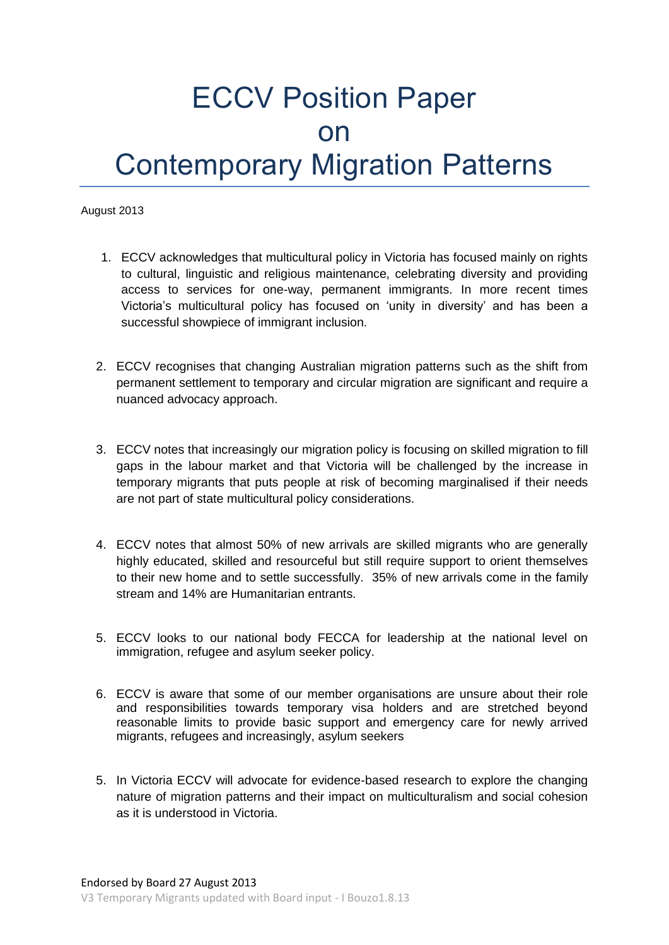## ECCV Position Paper on Contemporary Migration Patterns

August 2013

- 1. ECCV acknowledges that multicultural policy in Victoria has focused mainly on rights to cultural, linguistic and religious maintenance, celebrating diversity and providing access to services for one-way, permanent immigrants. In more recent times Victoria's multicultural policy has focused on 'unity in diversity' and has been a successful showpiece of immigrant inclusion.
- 2. ECCV recognises that changing Australian migration patterns such as the shift from permanent settlement to temporary and circular migration are significant and require a nuanced advocacy approach.
- 3. ECCV notes that increasingly our migration policy is focusing on skilled migration to fill gaps in the labour market and that Victoria will be challenged by the increase in temporary migrants that puts people at risk of becoming marginalised if their needs are not part of state multicultural policy considerations.
- 4. ECCV notes that almost 50% of new arrivals are skilled migrants who are generally highly educated, skilled and resourceful but still require support to orient themselves to their new home and to settle successfully. 35% of new arrivals come in the family stream and 14% are Humanitarian entrants.
- 5. ECCV looks to our national body FECCA for leadership at the national level on immigration, refugee and asylum seeker policy.
- 6. ECCV is aware that some of our member organisations are unsure about their role and responsibilities towards temporary visa holders and are stretched beyond reasonable limits to provide basic support and emergency care for newly arrived migrants, refugees and increasingly, asylum seekers
- 5. In Victoria ECCV will advocate for evidence-based research to explore the changing nature of migration patterns and their impact on multiculturalism and social cohesion as it is understood in Victoria.